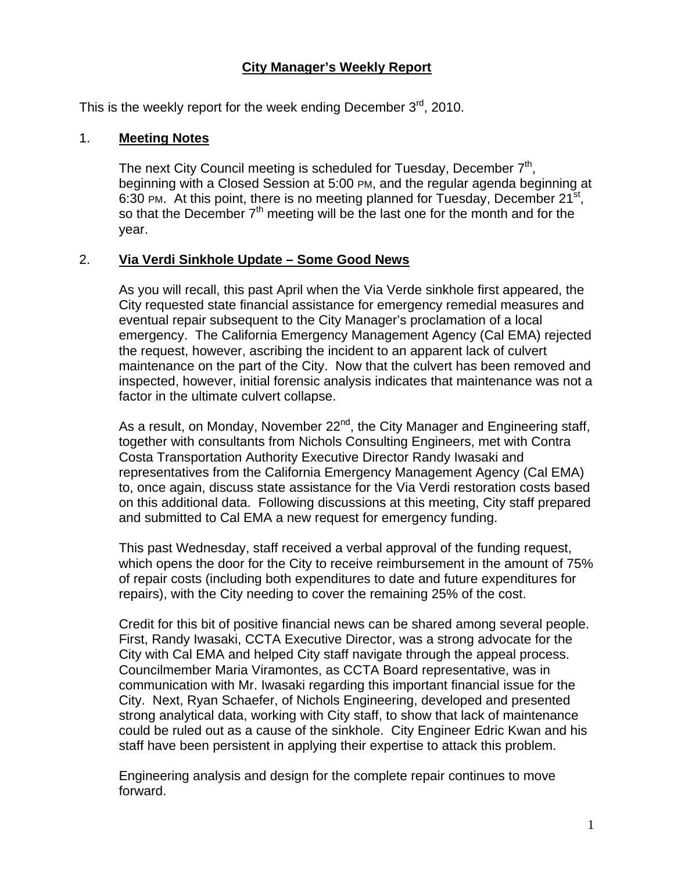### **City Manager's Weekly Report**

This is the weekly report for the week ending December  $3<sup>rd</sup>$ , 2010.

#### 1. **Meeting Notes**

The next City Council meeting is scheduled for Tuesday, December 7<sup>th</sup>, beginning with a Closed Session at 5:00 PM, and the regular agenda beginning at 6:30 PM. At this point, there is no meeting planned for Tuesday, December  $21^{st}$ , so that the December 7<sup>th</sup> meeting will be the last one for the month and for the year.

#### 2. **Via Verdi Sinkhole Update – Some Good News**

As you will recall, this past April when the Via Verde sinkhole first appeared, the City requested state financial assistance for emergency remedial measures and eventual repair subsequent to the City Manager's proclamation of a local emergency. The California Emergency Management Agency (Cal EMA) rejected the request, however, ascribing the incident to an apparent lack of culvert maintenance on the part of the City. Now that the culvert has been removed and inspected, however, initial forensic analysis indicates that maintenance was not a factor in the ultimate culvert collapse.

As a result, on Monday, November  $22^{nd}$ , the City Manager and Engineering staff, together with consultants from Nichols Consulting Engineers, met with Contra Costa Transportation Authority Executive Director Randy Iwasaki and representatives from the California Emergency Management Agency (Cal EMA) to, once again, discuss state assistance for the Via Verdi restoration costs based on this additional data. Following discussions at this meeting, City staff prepared and submitted to Cal EMA a new request for emergency funding.

This past Wednesday, staff received a verbal approval of the funding request, which opens the door for the City to receive reimbursement in the amount of 75% of repair costs (including both expenditures to date and future expenditures for repairs), with the City needing to cover the remaining 25% of the cost.

Credit for this bit of positive financial news can be shared among several people. First, Randy Iwasaki, CCTA Executive Director, was a strong advocate for the City with Cal EMA and helped City staff navigate through the appeal process. Councilmember Maria Viramontes, as CCTA Board representative, was in communication with Mr. Iwasaki regarding this important financial issue for the City. Next, Ryan Schaefer, of Nichols Engineering, developed and presented strong analytical data, working with City staff, to show that lack of maintenance could be ruled out as a cause of the sinkhole. City Engineer Edric Kwan and his staff have been persistent in applying their expertise to attack this problem.

Engineering analysis and design for the complete repair continues to move forward.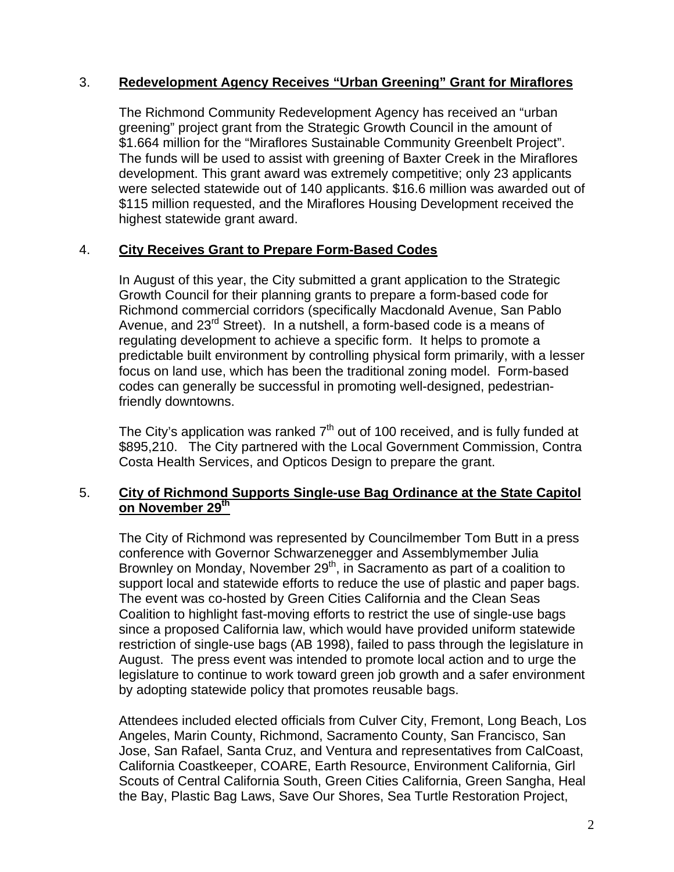#### 3. **Redevelopment Agency Receives "Urban Greening" Grant for Miraflores**

The Richmond Community Redevelopment Agency has received an "urban greening" project grant from the Strategic Growth Council in the amount of \$1.664 million for the "Miraflores Sustainable Community Greenbelt Project". The funds will be used to assist with greening of Baxter Creek in the Miraflores development. This grant award was extremely competitive; only 23 applicants were selected statewide out of 140 applicants. \$16.6 million was awarded out of \$115 million requested, and the Miraflores Housing Development received the highest statewide grant award.

## 4. **City Receives Grant to Prepare Form-Based Codes**

In August of this year, the City submitted a grant application to the Strategic Growth Council for their planning grants to prepare a form-based code for Richmond commercial corridors (specifically Macdonald Avenue, San Pablo Avenue, and 23<sup>rd</sup> Street). In a nutshell, a form-based code is a means of regulating development to achieve a specific form. It helps to promote a predictable built environment by controlling physical form primarily, with a lesser focus on land use, which has been the traditional zoning model. Form-based codes can generally be successful in promoting well-designed, pedestrianfriendly downtowns.

The City's application was ranked  $7<sup>th</sup>$  out of 100 received, and is fully funded at \$895,210. The City partnered with the Local Government Commission, Contra Costa Health Services, and Opticos Design to prepare the grant.

### 5. **City of Richmond Supports Single-use Bag Ordinance at the State Capitol on November 29th**

The City of Richmond was represented by Councilmember Tom Butt in a press conference with Governor Schwarzenegger and Assemblymember Julia Brownley on Monday, November  $29<sup>th</sup>$ , in Sacramento as part of a coalition to support local and statewide efforts to reduce the use of plastic and paper bags. The event was co-hosted by Green Cities California and the Clean Seas Coalition to highlight fast-moving efforts to restrict the use of single-use bags since a proposed California law, which would have provided uniform statewide restriction of single-use bags (AB 1998), failed to pass through the legislature in August. The press event was intended to promote local action and to urge the legislature to continue to work toward green job growth and a safer environment by adopting statewide policy that promotes reusable bags.

Attendees included elected officials from Culver City, Fremont, Long Beach, Los Angeles, Marin County, Richmond, Sacramento County, San Francisco, San Jose, San Rafael, Santa Cruz, and Ventura and representatives from CalCoast, California Coastkeeper, COARE, Earth Resource, Environment California, Girl Scouts of Central California South, Green Cities California, Green Sangha, Heal the Bay, Plastic Bag Laws, Save Our Shores, Sea Turtle Restoration Project,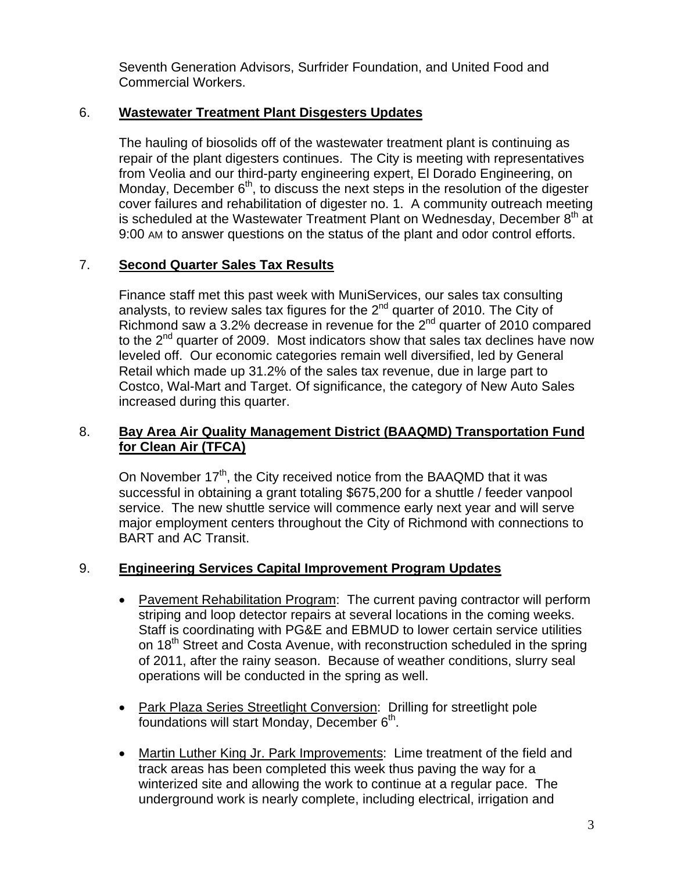Seventh Generation Advisors, Surfrider Foundation, and United Food and Commercial Workers.

### 6. **Wastewater Treatment Plant Disgesters Updates**

The hauling of biosolids off of the wastewater treatment plant is continuing as repair of the plant digesters continues. The City is meeting with representatives from Veolia and our third-party engineering expert, El Dorado Engineering, on Monday, December  $6<sup>th</sup>$ , to discuss the next steps in the resolution of the digester cover failures and rehabilitation of digester no. 1. A community outreach meeting is scheduled at the Wastewater Treatment Plant on Wednesday, December  $8<sup>th</sup>$  at 9:00 AM to answer questions on the status of the plant and odor control efforts.

### 7. **Second Quarter Sales Tax Results**

Finance staff met this past week with MuniServices, our sales tax consulting analysts, to review sales tax figures for the  $2<sup>nd</sup>$  quarter of 2010. The City of Richmond saw a 3.2% decrease in revenue for the 2<sup>nd</sup> quarter of 2010 compared to the  $2^{nd}$  quarter of 2009. Most indicators show that sales tax declines have now leveled off. Our economic categories remain well diversified, led by General Retail which made up 31.2% of the sales tax revenue, due in large part to Costco, Wal-Mart and Target. Of significance, the category of New Auto Sales increased during this quarter.

## 8. **Bay Area Air Quality Management District (BAAQMD) Transportation Fund for Clean Air (TFCA)**

On November 17<sup>th</sup>, the City received notice from the BAAQMD that it was successful in obtaining a grant totaling \$675,200 for a shuttle / feeder vanpool service. The new shuttle service will commence early next year and will serve major employment centers throughout the City of Richmond with connections to BART and AC Transit.

#### 9. **Engineering Services Capital Improvement Program Updates**

- Pavement Rehabilitation Program: The current paving contractor will perform striping and loop detector repairs at several locations in the coming weeks. Staff is coordinating with PG&E and EBMUD to lower certain service utilities on 18<sup>th</sup> Street and Costa Avenue, with reconstruction scheduled in the spring of 2011, after the rainy season. Because of weather conditions, slurry seal operations will be conducted in the spring as well.
- Park Plaza Series Streetlight Conversion: Drilling for streetlight pole foundations will start Monday, December  $6<sup>th</sup>$ .
- Martin Luther King Jr. Park Improvements: Lime treatment of the field and track areas has been completed this week thus paving the way for a winterized site and allowing the work to continue at a regular pace. The underground work is nearly complete, including electrical, irrigation and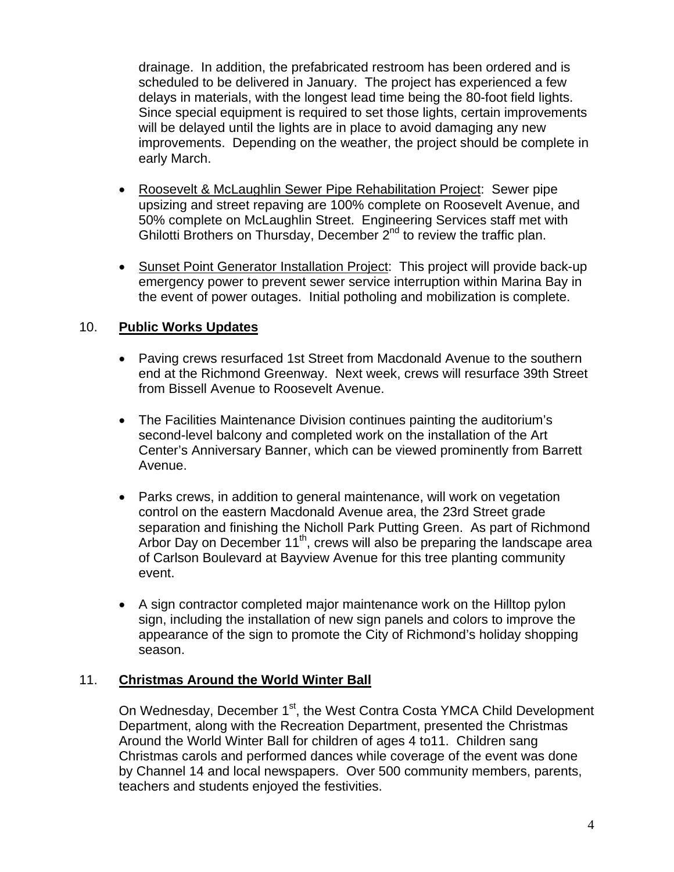drainage. In addition, the prefabricated restroom has been ordered and is scheduled to be delivered in January. The project has experienced a few delays in materials, with the longest lead time being the 80-foot field lights. Since special equipment is required to set those lights, certain improvements will be delayed until the lights are in place to avoid damaging any new improvements. Depending on the weather, the project should be complete in early March.

- Roosevelt & McLaughlin Sewer Pipe Rehabilitation Project: Sewer pipe upsizing and street repaving are 100% complete on Roosevelt Avenue, and 50% complete on McLaughlin Street. Engineering Services staff met with Ghilotti Brothers on Thursday, December 2<sup>nd</sup> to review the traffic plan.
- Sunset Point Generator Installation Project: This project will provide back-up emergency power to prevent sewer service interruption within Marina Bay in the event of power outages. Initial potholing and mobilization is complete.

## 10. **Public Works Updates**

- Paving crews resurfaced 1st Street from Macdonald Avenue to the southern end at the Richmond Greenway. Next week, crews will resurface 39th Street from Bissell Avenue to Roosevelt Avenue.
- The Facilities Maintenance Division continues painting the auditorium's second-level balcony and completed work on the installation of the Art Center's Anniversary Banner, which can be viewed prominently from Barrett Avenue.
- Parks crews, in addition to general maintenance, will work on vegetation control on the eastern Macdonald Avenue area, the 23rd Street grade separation and finishing the Nicholl Park Putting Green. As part of Richmond Arbor Day on December 11<sup>th</sup>, crews will also be preparing the landscape area of Carlson Boulevard at Bayview Avenue for this tree planting community event.
- A sign contractor completed major maintenance work on the Hilltop pylon sign, including the installation of new sign panels and colors to improve the appearance of the sign to promote the City of Richmond's holiday shopping season.

#### 11. **Christmas Around the World Winter Ball**

On Wednesday, December 1<sup>st</sup>, the West Contra Costa YMCA Child Development Department, along with the Recreation Department, presented the Christmas Around the World Winter Ball for children of ages 4 to11. Children sang Christmas carols and performed dances while coverage of the event was done by Channel 14 and local newspapers. Over 500 community members, parents, teachers and students enjoyed the festivities.